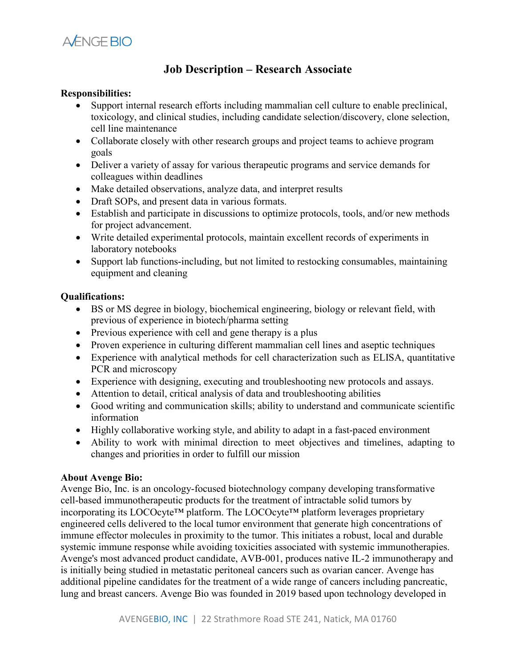

## **Job Description – Research Associate**

## **Responsibilities:**

- Support internal research efforts including mammalian cell culture to enable preclinical, toxicology, and clinical studies, including candidate selection/discovery, clone selection, cell line maintenance
- Collaborate closely with other research groups and project teams to achieve program goals
- Deliver a variety of assay for various therapeutic programs and service demands for colleagues within deadlines
- Make detailed observations, analyze data, and interpret results
- Draft SOPs, and present data in various formats.
- Establish and participate in discussions to optimize protocols, tools, and/or new methods for project advancement.
- Write detailed experimental protocols, maintain excellent records of experiments in laboratory notebooks
- Support lab functions-including, but not limited to restocking consumables, maintaining equipment and cleaning

## **Qualifications:**

- BS or MS degree in biology, biochemical engineering, biology or relevant field, with previous of experience in biotech/pharma setting
- Previous experience with cell and gene therapy is a plus
- Proven experience in culturing different mammalian cell lines and aseptic techniques
- Experience with analytical methods for cell characterization such as ELISA, quantitative PCR and microscopy
- Experience with designing, executing and troubleshooting new protocols and assays.
- Attention to detail, critical analysis of data and troubleshooting abilities
- Good writing and communication skills; ability to understand and communicate scientific information
- Highly collaborative working style, and ability to adapt in a fast-paced environment
- Ability to work with minimal direction to meet objectives and timelines, adapting to changes and priorities in order to fulfill our mission

## **About Avenge Bio:**

Avenge Bio, Inc. is an oncology-focused biotechnology company developing transformative cell-based immunotherapeutic products for the treatment of intractable solid tumors by incorporating its LOCOcyte™ platform. The LOCOcyte™ platform leverages proprietary engineered cells delivered to the local tumor environment that generate high concentrations of immune effector molecules in proximity to the tumor. This initiates a robust, local and durable systemic immune response while avoiding toxicities associated with systemic immunotherapies. Avenge's most advanced product candidate, AVB-001, produces native IL-2 immunotherapy and is initially being studied in metastatic peritoneal cancers such as ovarian cancer. Avenge has additional pipeline candidates for the treatment of a wide range of cancers including pancreatic, lung and breast cancers. Avenge Bio was founded in 2019 based upon technology developed in